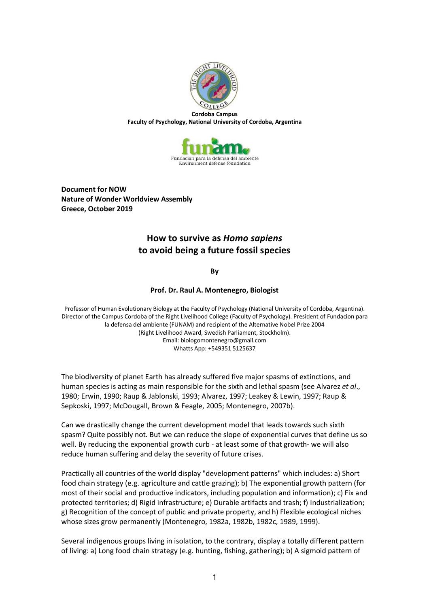

**Faculty of Psychology, National University of Cordoba, Argentina**



**Document for NOW Nature of Wonder Worldview Assembly Greece, October 2019**

## **How to survive as** *Homo sapiens* **to avoid being a future fossil species**

**By**

## **Prof. Dr. Raul A. Montenegro, Biologist**

Professor of Human Evolutionary Biology at the Faculty of Psychology (National University of Cordoba, Argentina). Director of the Campus Cordoba of the Right Livelihood College (Faculty of Psychology). President of Fundacion para la defensa del ambiente (FUNAM) and recipient of the Alternative Nobel Prize 2004 (Right Livelihood Award, Swedish Parliament, Stockholm). Email: biologomontenegro@gmail.com Whatts App: +549351 5125637

The biodiversity of planet Earth has already suffered five major spasms of extinctions, and human species is acting as main responsible for the sixth and lethal spasm (see Alvarez *et al*., 1980; Erwin, 1990; Raup & Jablonski, 1993; Alvarez, 1997; Leakey & Lewin, 1997; Raup & Sepkoski, 1997; McDougall, Brown & Feagle, 2005; Montenegro, 2007b).

Can we drastically change the current development model that leads towards such sixth spasm? Quite possibly not. But we can reduce the slope of exponential curves that define us so well. By reducing the exponential growth curb - at least some of that growth- we will also reduce human suffering and delay the severity of future crises.

Practically all countries of the world display "development patterns" which includes: a) Short food chain strategy (e.g. agriculture and cattle grazing); b) The exponential growth pattern (for most of their social and productive indicators, including population and information); c) Fix and protected territories; d) Rigid infrastructure; e) Durable artifacts and trash; f) Industrialization; g) Recognition of the concept of public and private property, and h) Flexible ecological niches whose sizes grow permanently (Montenegro, 1982a, 1982b, 1982c, 1989, 1999).

Several indigenous groups living in isolation, to the contrary, display a totally different pattern of living: a) Long food chain strategy (e.g. hunting, fishing, gathering); b) A sigmoid pattern of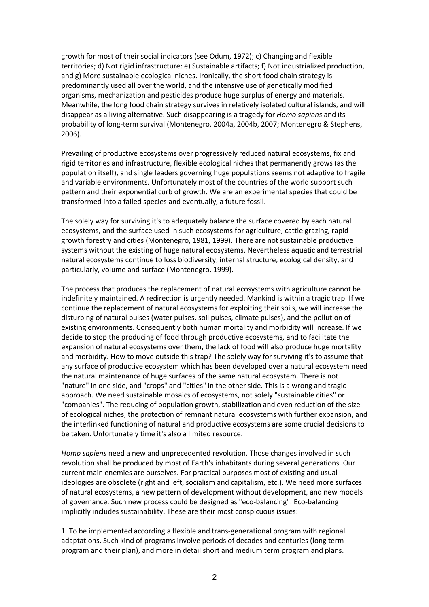growth for most of their social indicators (see Odum, 1972); c) Changing and flexible territories; d) Not rigid infrastructure: e) Sustainable artifacts; f) Not industrialized production, and g) More sustainable ecological niches. Ironically, the short food chain strategy is predominantly used all over the world, and the intensive use of genetically modified organisms, mechanization and pesticides produce huge surplus of energy and materials. Meanwhile, the long food chain strategy survives in relatively isolated cultural islands, and will disappear as a living alternative. Such disappearing is a tragedy for *Homo sapiens* and its probability of long-term survival (Montenegro, 2004a, 2004b, 2007; Montenegro & Stephens, 2006).

Prevailing of productive ecosystems over progressively reduced natural ecosystems, fix and rigid territories and infrastructure, flexible ecological niches that permanently grows (as the population itself), and single leaders governing huge populations seems not adaptive to fragile and variable environments. Unfortunately most of the countries of the world support such pattern and their exponential curb of growth. We are an experimental species that could be transformed into a failed species and eventually, a future fossil.

The solely way for surviving it's to adequately balance the surface covered by each natural ecosystems, and the surface used in such ecosystems for agriculture, cattle grazing, rapid growth forestry and cities (Montenegro, 1981, 1999). There are not sustainable productive systems without the existing of huge natural ecosystems. Nevertheless aquatic and terrestrial natural ecosystems continue to loss biodiversity, internal structure, ecological density, and particularly, volume and surface (Montenegro, 1999).

The process that produces the replacement of natural ecosystems with agriculture cannot be indefinitely maintained. A redirection is urgently needed. Mankind is within a tragic trap. If we continue the replacement of natural ecosystems for exploiting their soils, we will increase the disturbing of natural pulses (water pulses, soil pulses, climate pulses), and the pollution of existing environments. Consequently both human mortality and morbidity will increase. If we decide to stop the producing of food through productive ecosystems, and to facilitate the expansion of natural ecosystems over them, the lack of food will also produce huge mortality and morbidity. How to move outside this trap? The solely way for surviving it's to assume that any surface of productive ecosystem which has been developed over a natural ecosystem need the natural maintenance of huge surfaces of the same natural ecosystem. There is not "nature" in one side, and "crops" and "cities" in the other side. This is a wrong and tragic approach. We need sustainable mosaics of ecosystems, not solely "sustainable cities" or "companies". The reducing of population growth, stabilization and even reduction of the size of ecological niches, the protection of remnant natural ecosystems with further expansion, and the interlinked functioning of natural and productive ecosystems are some crucial decisions to be taken. Unfortunately time it's also a limited resource.

*Homo sapiens* need a new and unprecedented revolution. Those changes involved in such revolution shall be produced by most of Earth's inhabitants during several generations. Our current main enemies are ourselves. For practical purposes most of existing and usual ideologies are obsolete (right and left, socialism and capitalism, etc.). We need more surfaces of natural ecosystems, a new pattern of development without development, and new models of governance. Such new process could be designed as "eco-balancing". Eco-balancing implicitly includes sustainability. These are their most conspicuous issues:

1. To be implemented according a flexible and trans-generational program with regional adaptations. Such kind of programs involve periods of decades and centuries (long term program and their plan), and more in detail short and medium term program and plans.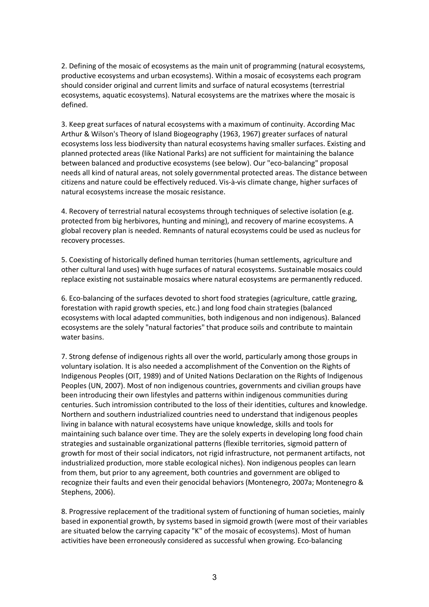2. Defining of the mosaic of ecosystems as the main unit of programming (natural ecosystems, productive ecosystems and urban ecosystems). Within a mosaic of ecosystems each program should consider original and current limits and surface of natural ecosystems (terrestrial ecosystems, aquatic ecosystems). Natural ecosystems are the matrixes where the mosaic is defined.

3. Keep great surfaces of natural ecosystems with a maximum of continuity. According Mac Arthur & Wilson's Theory of Island Biogeography (1963, 1967) greater surfaces of natural ecosystems loss less biodiversity than natural ecosystems having smaller surfaces. Existing and planned protected areas (like National Parks) are not sufficient for maintaining the balance between balanced and productive ecosystems (see below). Our "eco-balancing" proposal needs all kind of natural areas, not solely governmental protected areas. The distance between citizens and nature could be effectively reduced. Vis-à-vis climate change, higher surfaces of natural ecosystems increase the mosaic resistance.

4. Recovery of terrestrial natural ecosystems through techniques of selective isolation (e.g. protected from big herbivores, hunting and mining), and recovery of marine ecosystems. A global recovery plan is needed. Remnants of natural ecosystems could be used as nucleus for recovery processes.

5. Coexisting of historically defined human territories (human settlements, agriculture and other cultural land uses) with huge surfaces of natural ecosystems. Sustainable mosaics could replace existing not sustainable mosaics where natural ecosystems are permanently reduced.

6. Eco-balancing of the surfaces devoted to short food strategies (agriculture, cattle grazing, forestation with rapid growth species, etc.) and long food chain strategies (balanced ecosystems with local adapted communities, both indigenous and non indigenous). Balanced ecosystems are the solely "natural factories" that produce soils and contribute to maintain water basins.

7. Strong defense of indigenous rights all over the world, particularly among those groups in voluntary isolation. It is also needed a accomplishment of the Convention on the Rights of Indigenous Peoples (OIT, 1989) and of United Nations Declaration on the Rights of Indigenous Peoples (UN, 2007). Most of non indigenous countries, governments and civilian groups have been introducing their own lifestyles and patterns within indigenous communities during centuries. Such intromission contributed to the loss of their identities, cultures and knowledge. Northern and southern industrialized countries need to understand that indigenous peoples living in balance with natural ecosystems have unique knowledge, skills and tools for maintaining such balance over time. They are the solely experts in developing long food chain strategies and sustainable organizational patterns (flexible territories, sigmoid pattern of growth for most of their social indicators, not rigid infrastructure, not permanent artifacts, not industrialized production, more stable ecological niches). Non indigenous peoples can learn from them, but prior to any agreement, both countries and government are obliged to recognize their faults and even their genocidal behaviors (Montenegro, 2007a; Montenegro & Stephens, 2006).

8. Progressive replacement of the traditional system of functioning of human societies, mainly based in exponential growth, by systems based in sigmoid growth (were most of their variables are situated below the carrying capacity "K" of the mosaic of ecosystems). Most of human activities have been erroneously considered as successful when growing. Eco-balancing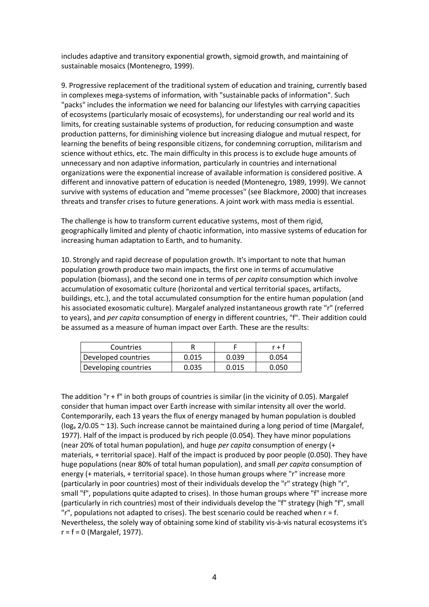includes adaptive and transitory exponential growth, sigmoid growth, and maintaining of sustainable mosaics (Montenegro, 1999).

9. Progressive replacement of the traditional system of education and training, currently based in complexes mega-systems of information, with "sustainable packs of information". Such "packs" includes the information we need for balancing our lifestyles with carrying capacities of ecosystems (particularly mosaic of ecosystems), for understanding our real world and its limits, for creating sustainable systems of production, for reducing consumption and waste production patterns, for diminishing violence but increasing dialogue and mutual respect, for learning the benefits of being responsible citizens, for condemning corruption, militarism and science without ethics, etc. The main difficulty in this process is to exclude huge amounts of unnecessary and non adaptive information, particularly in countries and international organizations were the exponential increase of available information is considered positive. A different and innovative pattern of education is needed (Montenegro, 1989, 1999). We cannot survive with systems of education and "meme processes" (see Blackmore, 2000) that increases threats and transfer crises to future generations. A joint work with mass media is essential.

The challenge is how to transform current educative systems, most of them rigid, geographically limited and plenty of chaotic information, into massive systems of education for increasing human adaptation to Earth, and to humanity.

10. Strongly and rapid decrease of population growth. It's important to note that human population growth produce two main impacts, the first one in terms of accumulative population (biomass), and the second one in terms of *per capita* consumption which involve accumulation of exosomatic culture (horizontal and vertical territorial spaces, artifacts, buildings, etc.), and the total accumulated consumption for the entire human population (and his associated exosomatic culture). Margalef analyzed instantaneous growth rate "r" (referred to years), and *per capita* consumption of energy in different countries, "f". Their addition could be assumed as a measure of human impact over Earth. These are the results:

| Countries            |       |       | r + t |
|----------------------|-------|-------|-------|
| Developed countries  | 0.015 | 0.039 | 0.054 |
| Developing countries | 0.035 | 0.015 | 0.050 |

The addition "r + f" in both groups of countries is similar (in the vicinity of 0.05). Margalef consider that human impact over Earth increase with similar intensity all over the world. Contemporarily, each 13 years the flux of energy managed by human population is doubled ( $log_e 2/0.05 \approx 13$ ). Such increase cannot be maintained during a long period of time (Margalef, 1977). Half of the impact is produced by rich people (0.054). They have minor populations (near 20% of total human population), and huge *per capita* consumption of energy (+ materials, + territorial space). Half of the impact is produced by poor people (0.050). They have huge populations (near 80% of total human population), and small *per capita* consumption of energy (+ materials, + territorial space). In those human groups where "r" increase more (particularly in poor countries) most of their individuals develop the "r" strategy (high "r", small "f", populations quite adapted to crises). In those human groups where "f" increase more (particularly in rich countries) most of their individuals develop the "f" strategy (high "f", small  $'r''$ , populations not adapted to crises). The best scenario could be reached when  $r = f$ . Nevertheless, the solely way of obtaining some kind of stability vis-à-vis natural ecosystems it's  $r = f = 0$  (Margalef, 1977).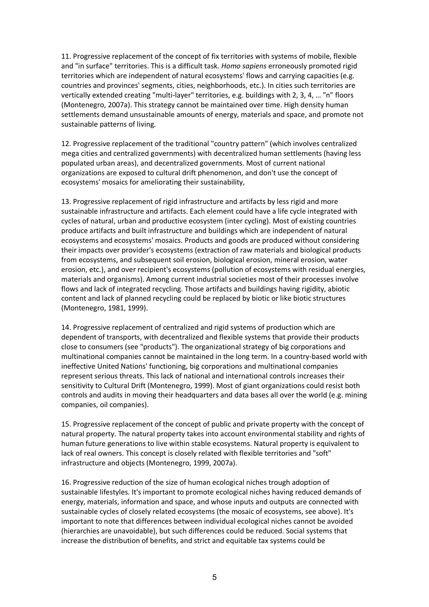11. Progressive replacement of the concept of fix territories with systems of mobile, flexible and "in surface" territories. This is a difficult task. *Homo sapiens* erroneously promoted rigid territories which are independent of natural ecosystems' flows and carrying capacities (e.g. countries and provinces' segments, cities, neighborhoods, etc.). In cities such territories are vertically extended creating "multi-layer" territories, e.g. buildings with 2, 3, 4, … "n" floors (Montenegro, 2007a). This strategy cannot be maintained over time. High density human settlements demand unsustainable amounts of energy, materials and space, and promote not sustainable patterns of living.

12. Progressive replacement of the traditional "country pattern" (which involves centralized mega cities and centralized governments) with decentralized human settlements (having less populated urban areas), and decentralized governments. Most of current national organizations are exposed to cultural drift phenomenon, and don't use the concept of ecosystems' mosaics for ameliorating their sustainability,

13. Progressive replacement of rigid infrastructure and artifacts by less rigid and more sustainable infrastructure and artifacts. Each element could have a life cycle integrated with cycles of natural, urban and productive ecosystem (inter cycling). Most of existing countries produce artifacts and built infrastructure and buildings which are independent of natural ecosystems and ecosystems' mosaics. Products and goods are produced without considering their impacts over provider's ecosystems (extraction of raw materials and biological products from ecosystems, and subsequent soil erosion, biological erosion, mineral erosion, water erosion, etc.), and over recipient's ecosystems (pollution of ecosystems with residual energies, materials and organisms). Among current industrial societies most of their processes involve flows and lack of integrated recycling. Those artifacts and buildings having rigidity, abiotic content and lack of planned recycling could be replaced by biotic or like biotic structures (Montenegro, 1981, 1999).

14. Progressive replacement of centralized and rigid systems of production which are dependent of transports, with decentralized and flexible systems that provide their products close to consumers (see "products"). The organizational strategy of big corporations and multinational companies cannot be maintained in the long term. In a country-based world with ineffective United Nations' functioning, big corporations and multinational companies represent serious threats. This lack of national and international controls increases their sensitivity to Cultural Drift (Montenegro, 1999). Most of giant organizations could resist both controls and audits in moving their headquarters and data bases all over the world (e.g. mining companies, oil companies).

15. Progressive replacement of the concept of public and private property with the concept of natural property. The natural property takes into account environmental stability and rights of human future generations to live within stable ecosystems. Natural property is equivalent to lack of real owners. This concept is closely related with flexible territories and "soft" infrastructure and objects (Montenegro, 1999, 2007a).

16. Progressive reduction of the size of human ecological niches trough adoption of sustainable lifestyles. It's important to promote ecological niches having reduced demands of energy, materials, information and space, and whose inputs and outputs are connected with sustainable cycles of closely related ecosystems (the mosaic of ecosystems, see above). It's important to note that differences between individual ecological niches cannot be avoided (hierarchies are unavoidable), but such differences could be reduced. Social systems that increase the distribution of benefits, and strict and equitable tax systems could be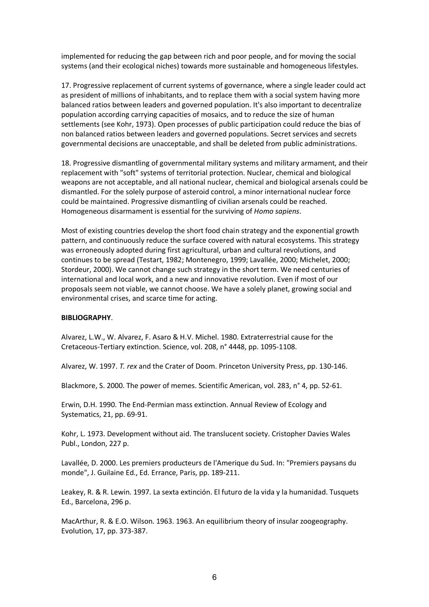implemented for reducing the gap between rich and poor people, and for moving the social systems (and their ecological niches) towards more sustainable and homogeneous lifestyles.

17. Progressive replacement of current systems of governance, where a single leader could act as president of millions of inhabitants, and to replace them with a social system having more balanced ratios between leaders and governed population. It's also important to decentralize population according carrying capacities of mosaics, and to reduce the size of human settlements (see Kohr, 1973). Open processes of public participation could reduce the bias of non balanced ratios between leaders and governed populations. Secret services and secrets governmental decisions are unacceptable, and shall be deleted from public administrations.

18. Progressive dismantling of governmental military systems and military armament, and their replacement with "soft" systems of territorial protection. Nuclear, chemical and biological weapons are not acceptable, and all national nuclear, chemical and biological arsenals could be dismantled. For the solely purpose of asteroid control, a minor international nuclear force could be maintained. Progressive dismantling of civilian arsenals could be reached. Homogeneous disarmament is essential for the surviving of *Homo sapiens*.

Most of existing countries develop the short food chain strategy and the exponential growth pattern, and continuously reduce the surface covered with natural ecosystems. This strategy was erroneously adopted during first agricultural, urban and cultural revolutions, and continues to be spread (Testart, 1982; Montenegro, 1999; Lavallée, 2000; Michelet, 2000; Stordeur, 2000). We cannot change such strategy in the short term. We need centuries of international and local work, and a new and innovative revolution. Even if most of our proposals seem not viable, we cannot choose. We have a solely planet, growing social and environmental crises, and scarce time for acting.

## **BIBLIOGRAPHY**.

Alvarez, L.W., W. Alvarez, F. Asaro & H.V. Michel. 1980. Extraterrestrial cause for the Cretaceous-Tertiary extinction. Science, vol. 208, n° 4448, pp. 1095-1108.

Alvarez, W. 1997. *T. rex* and the Crater of Doom. Princeton University Press, pp. 130-146.

Blackmore, S. 2000. The power of memes. Scientific American, vol. 283, n° 4, pp. 52-61.

Erwin, D.H. 1990. The End-Permian mass extinction. Annual Review of Ecology and Systematics, 21, pp. 69-91.

Kohr, L. 1973. Development without aid. The translucent society. Cristopher Davies Wales Publ., London, 227 p.

Lavallée, D. 2000. Les premiers producteurs de l'Amerique du Sud. In: "Premiers paysans du monde", J. Guilaine Ed., Ed. Errance, Paris, pp. 189-211.

Leakey, R. & R. Lewin. 1997. La sexta extinción. El futuro de la vida y la humanidad. Tusquets Ed., Barcelona, 296 p.

MacArthur, R. & E.O. Wilson. 1963. 1963. An equilibrium theory of insular zoogeography. Evolution, 17, pp. 373-387.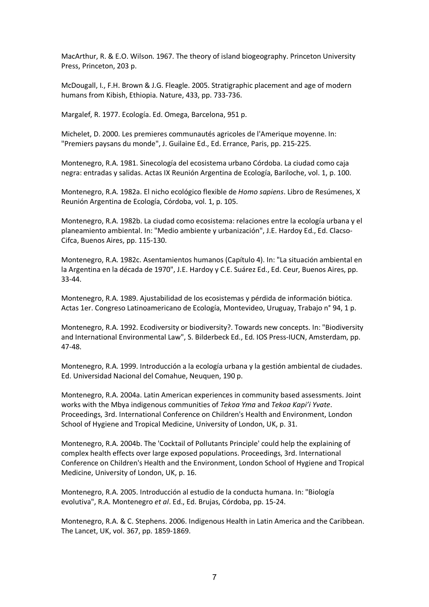MacArthur, R. & E.O. Wilson. 1967. The theory of island biogeography. Princeton University Press, Princeton, 203 p.

McDougall, I., F.H. Brown & J.G. Fleagle. 2005. Stratigraphic placement and age of modern humans from Kibish, Ethiopia. Nature, 433, pp. 733-736.

Margalef, R. 1977. Ecología. Ed. Omega, Barcelona, 951 p.

Michelet, D. 2000. Les premieres communautés agricoles de l'Amerique moyenne. In: "Premiers paysans du monde", J. Guilaine Ed., Ed. Errance, Paris, pp. 215-225.

Montenegro, R.A. 1981. Sinecología del ecosistema urbano Córdoba. La ciudad como caja negra: entradas y salidas. Actas IX Reunión Argentina de Ecología, Bariloche, vol. 1, p. 100.

Montenegro, R.A. 1982a. El nicho ecológico flexible de *Homo sapiens*. Libro de Resúmenes, X Reunión Argentina de Ecología, Córdoba, vol. 1, p. 105.

Montenegro, R.A. 1982b. La ciudad como ecosistema: relaciones entre la ecología urbana y el planeamiento ambiental. In: "Medio ambiente y urbanización", J.E. Hardoy Ed., Ed. Clacso-Cifca, Buenos Aires, pp. 115-130.

Montenegro, R.A. 1982c. Asentamientos humanos (Capítulo 4). In: "La situación ambiental en la Argentina en la década de 1970", J.E. Hardoy y C.E. Suárez Ed., Ed. Ceur, Buenos Aires, pp. 33-44.

Montenegro, R.A. 1989. Ajustabilidad de los ecosistemas y pérdida de información biótica. Actas 1er. Congreso Latinoamericano de Ecología, Montevideo, Uruguay, Trabajo n° 94, 1 p.

Montenegro, R.A. 1992. Ecodiversity or biodiversity?. Towards new concepts. In: "Biodiversity and International Environmental Law", S. Bilderbeck Ed., Ed. IOS Press-IUCN, Amsterdam, pp. 47-48.

Montenegro, R.A. 1999. Introducción a la ecología urbana y la gestión ambiental de ciudades. Ed. Universidad Nacional del Comahue, Neuquen, 190 p.

Montenegro, R.A. 2004a. Latin American experiences in community based assessments. Joint works with the Mbya indigenous communities of *Tekoa Yma* and *Tekoa Kapi'i Yvate*. Proceedings, 3rd. International Conference on Children's Health and Environment, London School of Hygiene and Tropical Medicine, University of London, UK, p. 31.

Montenegro, R.A. 2004b. The 'Cocktail of Pollutants Principle' could help the explaining of complex health effects over large exposed populations. Proceedings, 3rd. International Conference on Children's Health and the Environment, London School of Hygiene and Tropical Medicine, University of London, UK, p. 16.

Montenegro, R.A. 2005. Introducción al estudio de la conducta humana. In: "Biología evolutiva", R.A. Montenegro *et al*. Ed., Ed. Brujas, Córdoba, pp. 15-24.

Montenegro, R.A. & C. Stephens. 2006. Indigenous Health in Latin America and the Caribbean. The Lancet, UK, vol. 367, pp. 1859-1869.